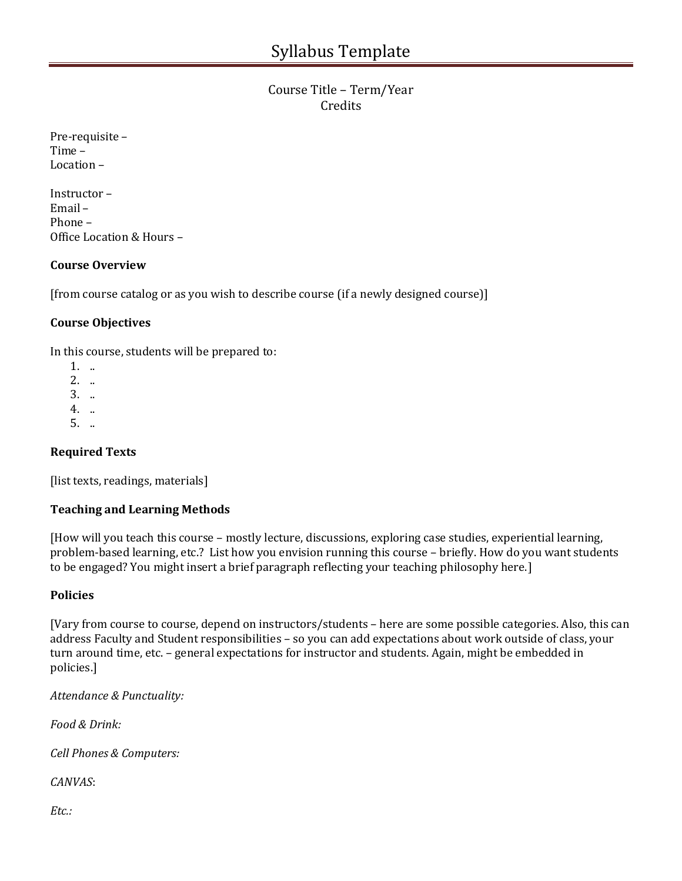# Course Title – Term/Year Credits

| Pre-requisite - |
|-----------------|
| Time –          |
| Location –      |

Instructor – Email – Phone – Office Location & Hours –

#### **Course Overview**

[from course catalog or as you wish to describe course (if a newly designed course)]

#### **Course Objectives**

In this course, students will be prepared to:

- 1. ..
- 2. ..
- 3. ..
- 4. ..
- 5. ..

# **Required Texts**

[list texts, readings, materials]

# **Teaching and Learning Methods**

[How will you teach this course – mostly lecture, discussions, exploring case studies, experiential learning, problem-based learning, etc.? List how you envision running this course – briefly. How do you want students to be engaged? You might insert a brief paragraph reflecting your teaching philosophy here.]

#### **Policies**

[Vary from course to course, depend on instructors/students – here are some possible categories. Also, this can address Faculty and Student responsibilities – so you can add expectations about work outside of class, your turn around time, etc. – general expectations for instructor and students. Again, might be embedded in policies.]

*Attendance & Punctuality:*

*Food & Drink:*

*Cell Phones & Computers:* 

*CANVAS*:

*Etc.:*